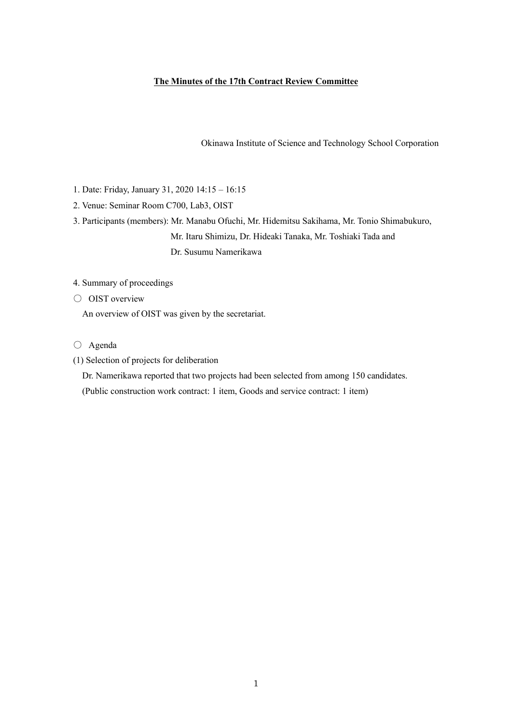## **The Minutes of the 17th Contract Review Committee**

Okinawa Institute of Science and Technology School Corporation

- 1. Date: Friday, January 31, 2020 14:15 16:15
- 2. Venue: Seminar Room C700, Lab3, OIST
- 3. Participants (members): Mr. Manabu Ofuchi, Mr. Hidemitsu Sakihama, Mr. Tonio Shimabukuro, Mr. Itaru Shimizu, Dr. Hideaki Tanaka, Mr. Toshiaki Tada and Dr. Susumu Namerikawa
- 4. Summary of proceedings
- OIST overview

An overview of OIST was given by the secretariat.

- Agenda
- (1) Selection of projects for deliberation

Dr. Namerikawa reported that two projects had been selected from among 150 candidates.

(Public construction work contract: 1 item, Goods and service contract: 1 item)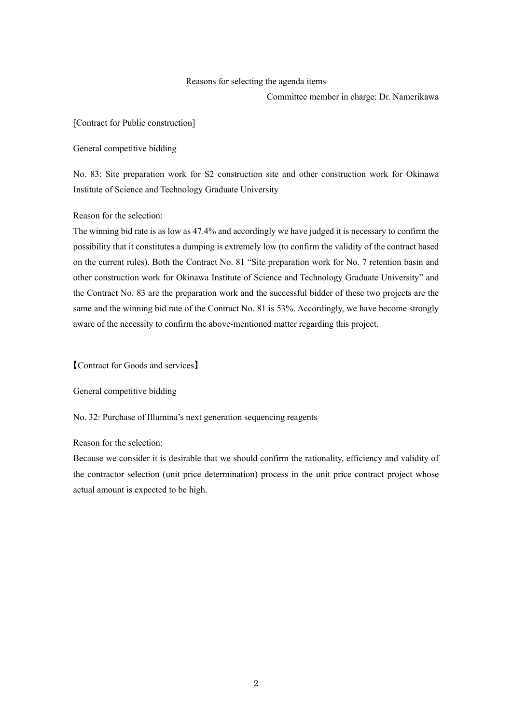#### Reasons for selecting the agenda items

Committee member in charge: Dr. Namerikawa

[Contract for Public construction]

General competitive bidding

No. 83: Site preparation work for S2 construction site and other construction work for Okinawa Institute of Science and Technology Graduate University

Reason for the selection:

The winning bid rate is as low as 47.4% and accordingly we have judged it is necessary to confirm the possibility that it constitutes a dumping is extremely low (to confirm the validity of the contract based on the current rules). Both the Contract No. 81 "Site preparation work for No. 7 retention basin and other construction work for Okinawa Institute of Science and Technology Graduate University" and the Contract No. 83 are the preparation work and the successful bidder of these two projects are the same and the winning bid rate of the Contract No. 81 is 53%. Accordingly, we have become strongly aware of the necessity to confirm the above-mentioned matter regarding this project.

【Contract for Goods and services】

General competitive bidding

No. 32: Purchase of Illumina's next generation sequencing reagents

Reason for the selection:

Because we consider it is desirable that we should confirm the rationality, efficiency and validity of the contractor selection (unit price determination) process in the unit price contract project whose actual amount is expected to be high.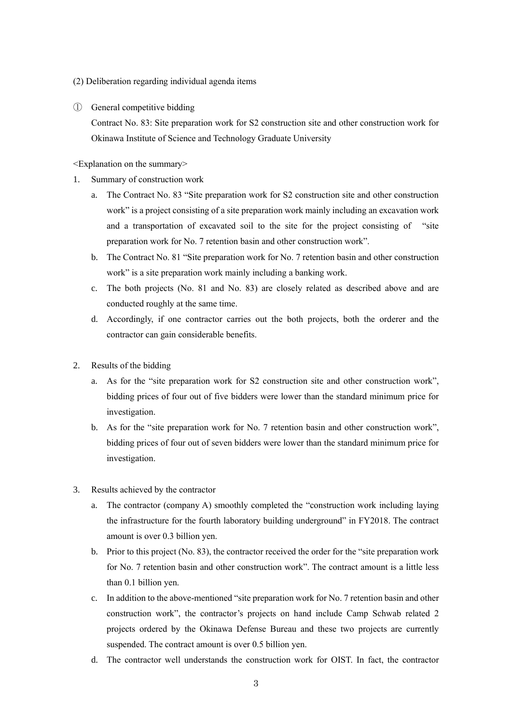- (2) Deliberation regarding individual agenda items
- ① General competitive bidding

Contract No. 83: Site preparation work for S2 construction site and other construction work for Okinawa Institute of Science and Technology Graduate University

<Explanation on the summary>

- 1. Summary of construction work
	- a. The Contract No. 83 "Site preparation work for S2 construction site and other construction work" is a project consisting of a site preparation work mainly including an excavation work and a transportation of excavated soil to the site for the project consisting of "site preparation work for No. 7 retention basin and other construction work".
	- b. The Contract No. 81 "Site preparation work for No. 7 retention basin and other construction work" is a site preparation work mainly including a banking work.
	- c. The both projects (No. 81 and No. 83) are closely related as described above and are conducted roughly at the same time.
	- d. Accordingly, if one contractor carries out the both projects, both the orderer and the contractor can gain considerable benefits.
- 2. Results of the bidding
	- a. As for the "site preparation work for S2 construction site and other construction work", bidding prices of four out of five bidders were lower than the standard minimum price for investigation.
	- b. As for the "site preparation work for No. 7 retention basin and other construction work", bidding prices of four out of seven bidders were lower than the standard minimum price for investigation.
- 3. Results achieved by the contractor
	- a. The contractor (company A) smoothly completed the "construction work including laying the infrastructure for the fourth laboratory building underground" in FY2018. The contract amount is over 0.3 billion yen.
	- b. Prior to this project (No. 83), the contractor received the order for the "site preparation work for No. 7 retention basin and other construction work". The contract amount is a little less than 0.1 billion yen.
	- c. In addition to the above-mentioned "site preparation work for No. 7 retention basin and other construction work", the contractor's projects on hand include Camp Schwab related 2 projects ordered by the Okinawa Defense Bureau and these two projects are currently suspended. The contract amount is over 0.5 billion yen.
	- d. The contractor well understands the construction work for OIST. In fact, the contractor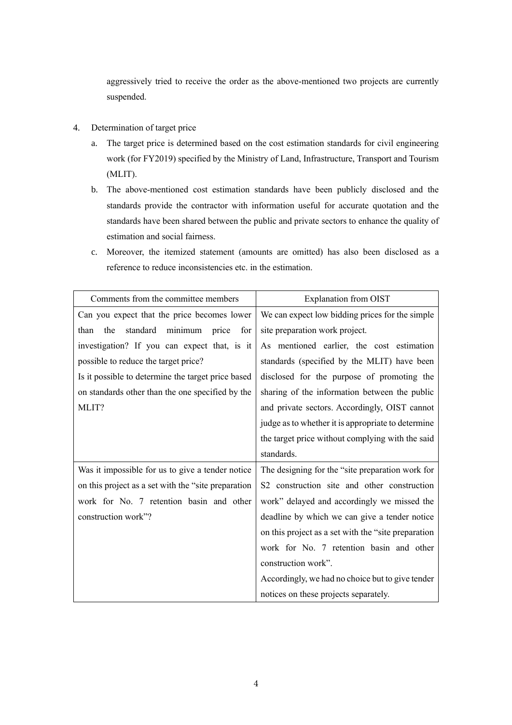aggressively tried to receive the order as the above-mentioned two projects are currently suspended.

- 4. Determination of target price
	- a. The target price is determined based on the cost estimation standards for civil engineering work (for FY2019) specified by the Ministry of Land, Infrastructure, Transport and Tourism (MLIT).
	- b. The above-mentioned cost estimation standards have been publicly disclosed and the standards provide the contractor with information useful for accurate quotation and the standards have been shared between the public and private sectors to enhance the quality of estimation and social fairness.
	- c. Moreover, the itemized statement (amounts are omitted) has also been disclosed as a reference to reduce inconsistencies etc. in the estimation.

| Comments from the committee members                  | <b>Explanation from OIST</b>                         |
|------------------------------------------------------|------------------------------------------------------|
| Can you expect that the price becomes lower          | We can expect low bidding prices for the simple      |
| standard<br>minimum<br>price<br>than<br>the<br>for   | site preparation work project.                       |
| investigation? If you can expect that, is it         | As mentioned earlier, the cost estimation            |
| possible to reduce the target price?                 | standards (specified by the MLIT) have been          |
| Is it possible to determine the target price based   | disclosed for the purpose of promoting the           |
| on standards other than the one specified by the     | sharing of the information between the public        |
| MLIT?                                                | and private sectors. Accordingly, OIST cannot        |
|                                                      | judge as to whether it is appropriate to determine   |
|                                                      | the target price without complying with the said     |
|                                                      | standards.                                           |
| Was it impossible for us to give a tender notice     | The designing for the "site preparation work for     |
| on this project as a set with the "site preparation" | S2 construction site and other construction          |
| work for No. 7 retention basin and other             | work" delayed and accordingly we missed the          |
| construction work"?                                  | deadline by which we can give a tender notice        |
|                                                      | on this project as a set with the "site preparation" |
|                                                      | work for No. 7 retention basin and other             |
|                                                      | construction work".                                  |
|                                                      | Accordingly, we had no choice but to give tender     |
|                                                      | notices on these projects separately.                |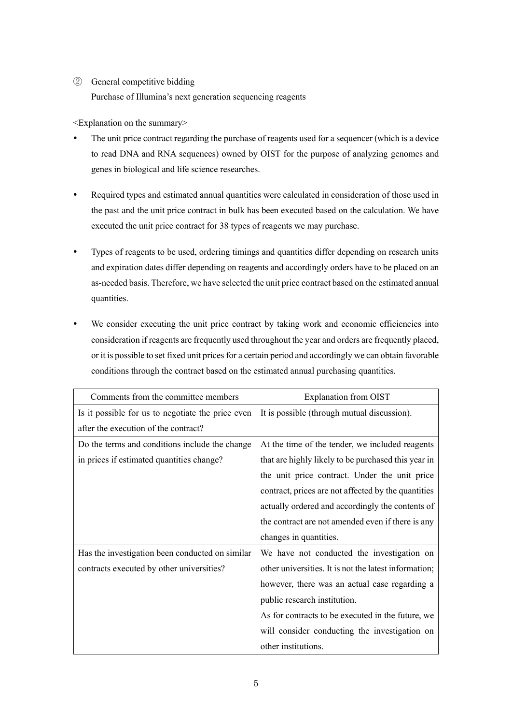## ② General competitive bidding

Purchase of Illumina's next generation sequencing reagents

<Explanation on the summary>

- The unit price contract regarding the purchase of reagents used for a sequencer (which is a device to read DNA and RNA sequences) owned by OIST for the purpose of analyzing genomes and genes in biological and life science researches.
- Required types and estimated annual quantities were calculated in consideration of those used in the past and the unit price contract in bulk has been executed based on the calculation. We have executed the unit price contract for 38 types of reagents we may purchase.
- Types of reagents to be used, ordering timings and quantities differ depending on research units and expiration dates differ depending on reagents and accordingly orders have to be placed on an as-needed basis. Therefore, we have selected the unit price contract based on the estimated annual quantities.
- We consider executing the unit price contract by taking work and economic efficiencies into consideration if reagents are frequently used throughout the year and orders are frequently placed, or it is possible to set fixed unit prices for a certain period and accordingly we can obtain favorable conditions through the contract based on the estimated annual purchasing quantities.

| Comments from the committee members               | <b>Explanation from OIST</b>                          |
|---------------------------------------------------|-------------------------------------------------------|
| Is it possible for us to negotiate the price even | It is possible (through mutual discussion).           |
| after the execution of the contract?              |                                                       |
| Do the terms and conditions include the change    | At the time of the tender, we included reagents       |
| in prices if estimated quantities change?         | that are highly likely to be purchased this year in   |
|                                                   | the unit price contract. Under the unit price         |
|                                                   | contract, prices are not affected by the quantities   |
|                                                   | actually ordered and accordingly the contents of      |
|                                                   | the contract are not amended even if there is any     |
|                                                   | changes in quantities.                                |
| Has the investigation been conducted on similar   | We have not conducted the investigation on            |
| contracts executed by other universities?         | other universities. It is not the latest information; |
|                                                   | however, there was an actual case regarding a         |
|                                                   | public research institution.                          |
|                                                   | As for contracts to be executed in the future, we     |
|                                                   | will consider conducting the investigation on         |
|                                                   | other institutions.                                   |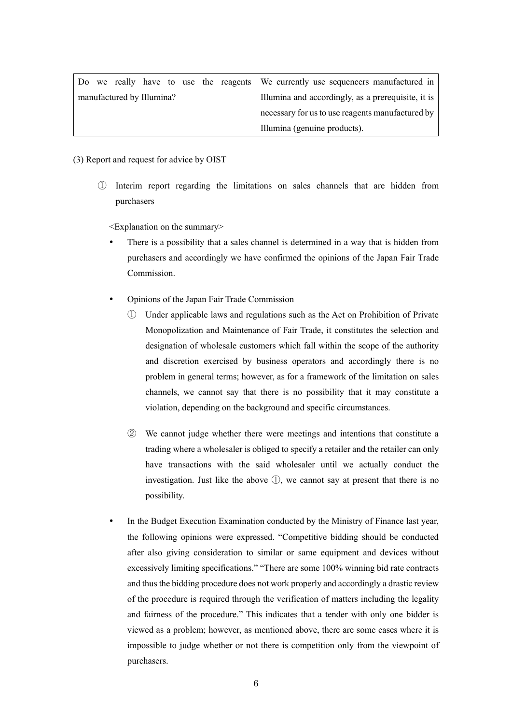|  |                           |  |  | Do we really have to use the reagents We currently use sequencers manufactured in |
|--|---------------------------|--|--|-----------------------------------------------------------------------------------|
|  | manufactured by Illumina? |  |  | Illumina and accordingly, as a prerequisite, it is                                |
|  |                           |  |  | necessary for us to use reagents manufactured by                                  |
|  |                           |  |  | Illumina (genuine products).                                                      |

### (3) Report and request for advice by OIST

① Interim report regarding the limitations on sales channels that are hidden from purchasers

<Explanation on the summary>

- There is a possibility that a sales channel is determined in a way that is hidden from purchasers and accordingly we have confirmed the opinions of the Japan Fair Trade Commission.
- Opinions of the Japan Fair Trade Commission
	- ① Under applicable laws and regulations such as the Act on Prohibition of Private Monopolization and Maintenance of Fair Trade, it constitutes the selection and designation of wholesale customers which fall within the scope of the authority and discretion exercised by business operators and accordingly there is no problem in general terms; however, as for a framework of the limitation on sales channels, we cannot say that there is no possibility that it may constitute a violation, depending on the background and specific circumstances.
	- ② We cannot judge whether there were meetings and intentions that constitute a trading where a wholesaler is obliged to specify a retailer and the retailer can only have transactions with the said wholesaler until we actually conduct the investigation. Just like the above ①, we cannot say at present that there is no possibility.
- In the Budget Execution Examination conducted by the Ministry of Finance last year, the following opinions were expressed. "Competitive bidding should be conducted after also giving consideration to similar or same equipment and devices without excessively limiting specifications." "There are some 100% winning bid rate contracts and thus the bidding procedure does not work properly and accordingly a drastic review of the procedure is required through the verification of matters including the legality and fairness of the procedure." This indicates that a tender with only one bidder is viewed as a problem; however, as mentioned above, there are some cases where it is impossible to judge whether or not there is competition only from the viewpoint of purchasers.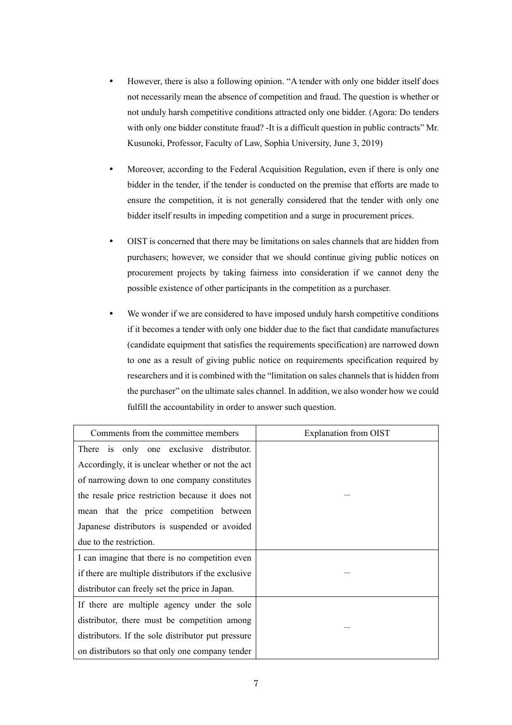- However, there is also a following opinion. "A tender with only one bidder itself does not necessarily mean the absence of competition and fraud. The question is whether or not unduly harsh competitive conditions attracted only one bidder. (Agora: Do tenders with only one bidder constitute fraud? -It is a difficult question in public contracts" Mr. Kusunoki, Professor, Faculty of Law, Sophia University, June 3, 2019)
- Moreover, according to the Federal Acquisition Regulation, even if there is only one bidder in the tender, if the tender is conducted on the premise that efforts are made to ensure the competition, it is not generally considered that the tender with only one bidder itself results in impeding competition and a surge in procurement prices.
- OIST is concerned that there may be limitations on sales channels that are hidden from purchasers; however, we consider that we should continue giving public notices on procurement projects by taking fairness into consideration if we cannot deny the possible existence of other participants in the competition as a purchaser.
- We wonder if we are considered to have imposed unduly harsh competitive conditions if it becomes a tender with only one bidder due to the fact that candidate manufactures (candidate equipment that satisfies the requirements specification) are narrowed down to one as a result of giving public notice on requirements specification required by researchers and it is combined with the "limitation on sales channels that is hidden from the purchaser" on the ultimate sales channel. In addition, we also wonder how we could fulfill the accountability in order to answer such question.

| Comments from the committee members                 | Explanation from OIST |
|-----------------------------------------------------|-----------------------|
| There is only one exclusive distributor.            |                       |
| Accordingly, it is unclear whether or not the act   |                       |
| of narrowing down to one company constitutes        |                       |
| the resale price restriction because it does not    |                       |
| mean that the price competition between             |                       |
| Japanese distributors is suspended or avoided       |                       |
| due to the restriction.                             |                       |
| I can imagine that there is no competition even     |                       |
| if there are multiple distributors if the exclusive |                       |
| distributor can freely set the price in Japan.      |                       |
| If there are multiple agency under the sole         |                       |
| distributor, there must be competition among        |                       |
| distributors. If the sole distributor put pressure  |                       |
| on distributors so that only one company tender     |                       |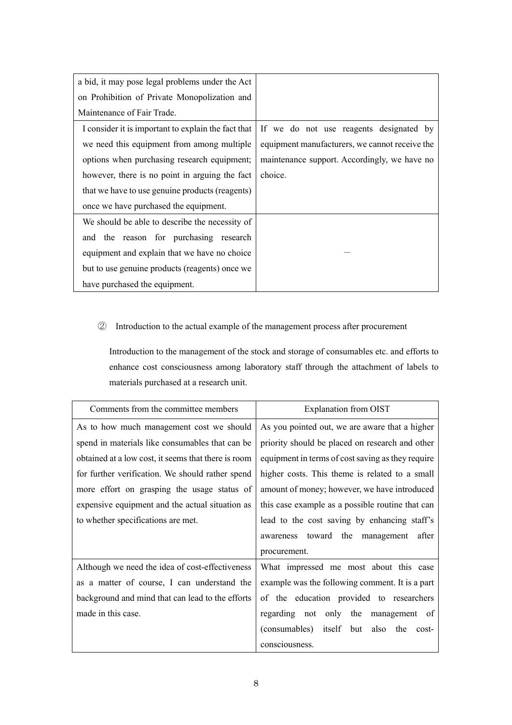| a bid, it may pose legal problems under the Act     |                                                |
|-----------------------------------------------------|------------------------------------------------|
| on Prohibition of Private Monopolization and        |                                                |
| Maintenance of Fair Trade.                          |                                                |
| I consider it is important to explain the fact that | If we do not use reagents designated by        |
| we need this equipment from among multiple          | equipment manufacturers, we cannot receive the |
| options when purchasing research equipment;         | maintenance support. Accordingly, we have no   |
| however, there is no point in arguing the fact      | choice.                                        |
| that we have to use genuine products (reagents)     |                                                |
| once we have purchased the equipment.               |                                                |
| We should be able to describe the necessity of      |                                                |
| and the reason for purchasing research              |                                                |
| equipment and explain that we have no choice        |                                                |
| but to use genuine products (reagents) once we      |                                                |
| have purchased the equipment.                       |                                                |

# ② Introduction to the actual example of the management process after procurement

Introduction to the management of the stock and storage of consumables etc. and efforts to enhance cost consciousness among laboratory staff through the attachment of labels to materials purchased at a research unit.

| Comments from the committee members                 | Explanation from OIST                             |  |  |
|-----------------------------------------------------|---------------------------------------------------|--|--|
| As to how much management cost we should            | As you pointed out, we are aware that a higher    |  |  |
| spend in materials like consumables that can be     | priority should be placed on research and other   |  |  |
| obtained at a low cost, it seems that there is room | equipment in terms of cost saving as they require |  |  |
| for further verification. We should rather spend    | higher costs. This theme is related to a small    |  |  |
| more effort on grasping the usage status of         | amount of money; however, we have introduced      |  |  |
| expensive equipment and the actual situation as     | this case example as a possible routine that can  |  |  |
| to whether specifications are met.                  | lead to the cost saving by enhancing staff's      |  |  |
|                                                     | awareness toward the management after             |  |  |
|                                                     | procurement.                                      |  |  |
| Although we need the idea of cost-effectiveness     | What impressed me most about this case            |  |  |
| as a matter of course, I can understand the         | example was the following comment. It is a part   |  |  |
| background and mind that can lead to the efforts    | of the education provided to researchers          |  |  |
| made in this case.                                  | regarding not only the management of              |  |  |
|                                                     | (consumables) itself but<br>also the<br>cost-     |  |  |
|                                                     | consciousness.                                    |  |  |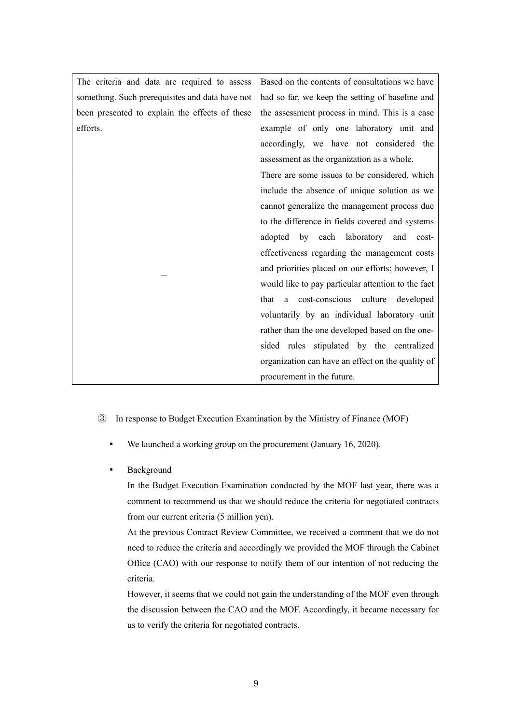| The criteria and data are required to assess    | Based on the contents of consultations we have     |
|-------------------------------------------------|----------------------------------------------------|
| something. Such prerequisites and data have not | had so far, we keep the setting of baseline and    |
| been presented to explain the effects of these  | the assessment process in mind. This is a case     |
| efforts.                                        | example of only one laboratory unit and            |
|                                                 | accordingly, we have not considered the            |
|                                                 | assessment as the organization as a whole.         |
|                                                 | There are some issues to be considered, which      |
|                                                 | include the absence of unique solution as we       |
|                                                 | cannot generalize the management process due       |
|                                                 | to the difference in fields covered and systems    |
|                                                 | adopted by each laboratory<br>and cost-            |
|                                                 | effectiveness regarding the management costs       |
|                                                 | and priorities placed on our efforts; however, I   |
|                                                 | would like to pay particular attention to the fact |
|                                                 | a cost-conscious culture developed<br>that         |
|                                                 | voluntarily by an individual laboratory unit       |
|                                                 | rather than the one developed based on the one-    |
|                                                 | sided rules stipulated by the centralized          |
|                                                 | organization can have an effect on the quality of  |
|                                                 | procurement in the future.                         |

- ③ In response to Budget Execution Examination by the Ministry of Finance (MOF)
	- We launched a working group on the procurement (January 16, 2020).
	- Background

In the Budget Execution Examination conducted by the MOF last year, there was a comment to recommend us that we should reduce the criteria for negotiated contracts from our current criteria (5 million yen).

At the previous Contract Review Committee, we received a comment that we do not need to reduce the criteria and accordingly we provided the MOF through the Cabinet Office (CAO) with our response to notify them of our intention of not reducing the criteria.

However, it seems that we could not gain the understanding of the MOF even through the discussion between the CAO and the MOF. Accordingly, it became necessary for us to verify the criteria for negotiated contracts.